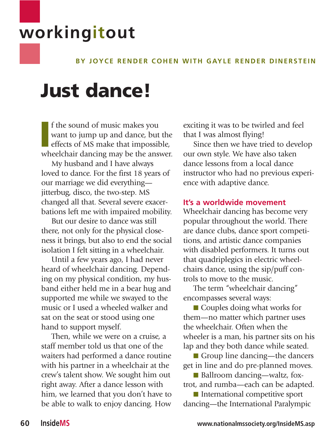# **workingitout**

# **BY JOYCE RENDER COHEN WITH GAYLE RENDER DINERSTEIN**

# **Just dance!**

**I** f the sound of music makes you want to jump up and dance, but the effects of MS make that impossible, wheelchair dancing may be the answer. f the sound of music makes you want to jump up and dance, but the effects of MS make that impossible,

My husband and I have always loved to dance. For the first 18 years of our marriage we did everything jitterbug, disco, the two-step. MS changed all that. Several severe exacerbations left me with impaired mobility.

But our desire to dance was still there, not only for the physical closeness it brings, but also to end the social isolation I felt sitting in a wheelchair.

Until a few years ago, I had never heard of wheelchair dancing. Depending on my physical condition, my husband either held me in a bear hug and supported me while we swayed to the music or I used a wheeled walker and sat on the seat or stood using one hand to support myself.

Then, while we were on a cruise, a staff member told us that one of the waiters had performed a dance routine with his partner in a wheelchair at the crew's talent show. We sought him out right away. After a dance lesson with him, we learned that you don't have to be able to walk to enjoy dancing. How

exciting it was to be twirled and feel that I was almost flying!

Since then we have tried to develop our own style. We have also taken dance lessons from a local dance instructor who had no previous experience with adaptive dance.

#### **It's a worldwide movement**

Wheelchair dancing has become very popular throughout the world. There are dance clubs, dance sport competitions, and artistic dance companies with disabled performers. It turns out that quadriplegics in electric wheelchairs dance, using the sip/puff controls to move to the music.

The term "wheelchair dancing" encompasses several ways:

■ Couples doing what works for them—no matter which partner uses the wheelchair. Often when the wheeler is a man, his partner sits on his lap and they both dance while seated.

■ Group line dancing—the dancers get in line and do pre-planned moves.

■ Ballroom dancing—waltz, foxtrot, and rumba—each can be adapted.

■ International competitive sport dancing—the International Paralympic